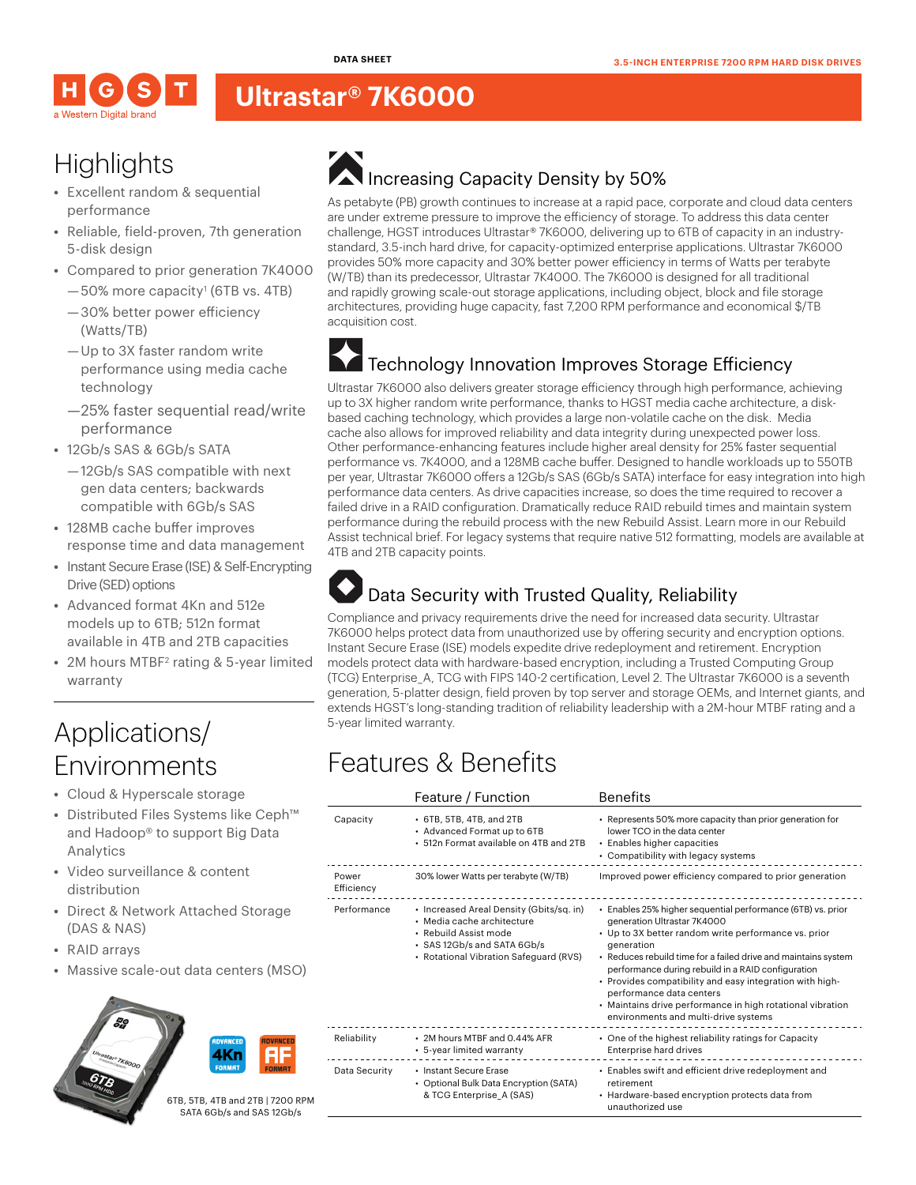**DATA SHEET**



#### **Ultrastar® 7K6000**

# **Highlights**

- **•** Excellent random & sequential performance
- **•** Reliable, field-proven, 7th generation 5-disk design
- **•** Compared to prior generation 7K4000
	- $-50\%$  more capacity<sup>1</sup> (6TB vs. 4TB) —30% better power efficiency (Watts/TB)
	- —Up to 3X faster random write performance using media cache technology
	- —25% faster sequential read/write performance
- **•** 12Gb/s SAS & 6Gb/s SATA
	- —12Gb/s SAS compatible with next gen data centers; backwards compatible with 6Gb/s SAS
- **•** 128MB cache buffer improves response time and data management
- **•** Instant Secure Erase (ISE) & Self-Encrypting Drive (SED) options
- **•** Advanced format 4Kn and 512e models up to 6TB; 512n format available in 4TB and 2TB capacities
- 2M hours MTBF<sup>2</sup> rating & 5-year limited warranty

### Applications/ Environments

- **•** Cloud & Hyperscale storage
- **•** Distributed Files Systems like Ceph™ and Hadoop® to support Big Data Analytics
- **•** Video surveillance & content distribution
- **•** Direct & Network Attached Storage (DAS & NAS)
- **•** RAID arrays
- **•** Massive scale-out data centers (MSO)







# Increasing Capacity Density by 50%

As petabyte (PB) growth continues to increase at a rapid pace, corporate and cloud data centers are under extreme pressure to improve the efficiency of storage. To address this data center challenge, HGST introduces Ultrastar® 7K6000, delivering up to 6TB of capacity in an industrystandard, 3.5-inch hard drive, for capacity-optimized enterprise applications. Ultrastar 7K6000 provides 50% more capacity and 30% better power efficiency in terms of Watts per terabyte (W/TB) than its predecessor, Ultrastar 7K4000. The 7K6000 is designed for all traditional and rapidly growing scale-out storage applications, including object, block and file storage architectures, providing huge capacity, fast 7,200 RPM performance and economical \$/TB acquisition cost.

#### Technology Innovation Improves Storage Efficiency

Ultrastar 7K6000 also delivers greater storage efficiency through high performance, achieving up to 3X higher random write performance, thanks to HGST media cache architecture, a diskbased caching technology, which provides a large non-volatile cache on the disk. Media cache also allows for improved reliability and data integrity during unexpected power loss. Other performance-enhancing features include higher areal density for 25% faster sequential performance vs. 7K4000, and a 128MB cache buffer. Designed to handle workloads up to 550TB per year, Ultrastar 7K6000 offers a 12Gb/s SAS (6Gb/s SATA) interface for easy integration into high performance data centers. As drive capacities increase, so does the time required to recover a failed drive in a RAID configuration. Dramatically reduce RAID rebuild times and maintain system performance during the rebuild process with the new Rebuild Assist. Learn more in our Rebuild Assist technical brief. For legacy systems that require native 512 formatting, models are available at 4TB and 2TB capacity points.

#### Data Security with Trusted Quality, Reliability

Compliance and privacy requirements drive the need for increased data security. Ultrastar 7K6000 helps protect data from unauthorized use by offering security and encryption options. Instant Secure Erase (ISE) models expedite drive redeployment and retirement. Encryption models protect data with hardware-based encryption, including a Trusted Computing Group (TCG) Enterprise\_A, TCG with FIPS 140-2 certification, Level 2. The Ultrastar 7K6000 is a seventh generation, 5-platter design, field proven by top server and storage OEMs, and Internet giants, and extends HGST's long-standing tradition of reliability leadership with a 2M-hour MTBF rating and a 5-year limited warranty.

## Features & Benefits

|                     | Feature / Function                                                                                                                                                       | <b>Benefits</b>                                                                                                                                                                                                                                                                                                                                                                                                                                                                        |
|---------------------|--------------------------------------------------------------------------------------------------------------------------------------------------------------------------|----------------------------------------------------------------------------------------------------------------------------------------------------------------------------------------------------------------------------------------------------------------------------------------------------------------------------------------------------------------------------------------------------------------------------------------------------------------------------------------|
| Capacity            | • 6TB, 5TB, 4TB, and 2TB<br>• Advanced Format up to 6TB<br>• 512n Format available on 4TB and 2TB                                                                        | • Represents 50% more capacity than prior generation for<br>lower TCO in the data center<br>• Enables higher capacities<br>• Compatibility with legacy systems                                                                                                                                                                                                                                                                                                                         |
| Power<br>Efficiency | 30% lower Watts per terabyte (W/TB)                                                                                                                                      | Improved power efficiency compared to prior generation                                                                                                                                                                                                                                                                                                                                                                                                                                 |
| Performance         | • Increased Areal Density (Gbits/sq. in)<br>· Media cache architecture<br>• Rebuild Assist mode<br>· SAS 12Gb/s and SATA 6Gb/s<br>• Rotational Vibration Safeguard (RVS) | • Enables 25% higher sequential performance (6TB) vs. prior<br>generation Ultrastar 7K4000<br>• Up to 3X better random write performance vs. prior<br>aeneration<br>• Reduces rebuild time for a failed drive and maintains system<br>performance during rebuild in a RAID configuration<br>• Provides compatibility and easy integration with high-<br>performance data centers<br>• Maintains drive performance in high rotational vibration<br>environments and multi-drive systems |
| Reliability         | • 2M hours MTBF and 0.44% AFR<br>• 5-year limited warranty                                                                                                               | • One of the highest reliability ratings for Capacity<br>Enterprise hard drives                                                                                                                                                                                                                                                                                                                                                                                                        |
| Data Security       | • Instant Secure Erase<br>• Optional Bulk Data Encryption (SATA)<br>& TCG Enterprise_A (SAS)                                                                             | • Enables swift and efficient drive redeployment and<br>retirement<br>• Hardware-based encryption protects data from<br>unauthorized use                                                                                                                                                                                                                                                                                                                                               |